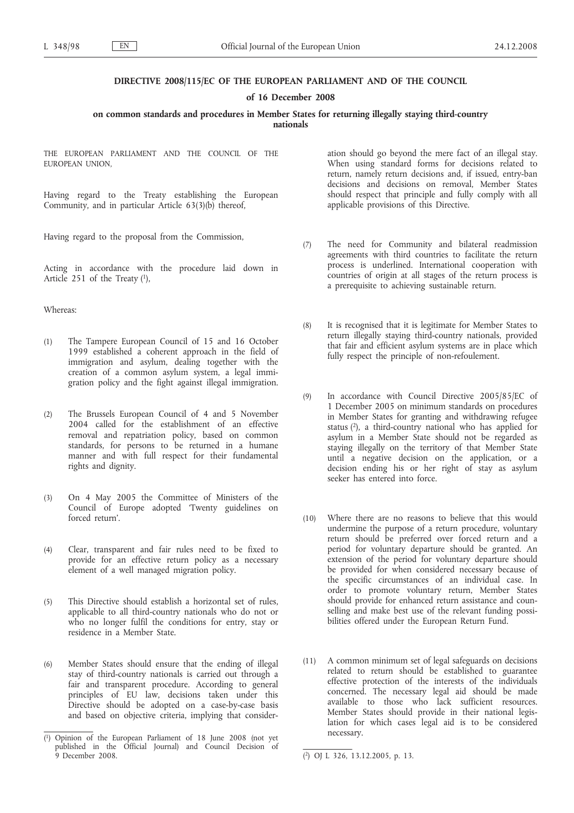## **DIRECTIVE 2008/115/EC OF THE EUROPEAN PARLIAMENT AND OF THE COUNCIL**

### **of 16 December 2008**

## **on common standards and procedures in Member States for returning illegally staying third-country nationals**

THE EUROPEAN PARLIAMENT AND THE COUNCIL OF THE EUROPEAN UNION,

Having regard to the Treaty establishing the European Community, and in particular Article 63(3)(b) thereof,

Having regard to the proposal from the Commission,

Acting in accordance with the procedure laid down in Article  $251$  of the Treaty  $(1)$ ,

## Whereas:

- (1) The Tampere European Council of 15 and 16 October 1999 established a coherent approach in the field of immigration and asylum, dealing together with the creation of a common asylum system, a legal immigration policy and the fight against illegal immigration.
- (2) The Brussels European Council of 4 and 5 November 2004 called for the establishment of an effective removal and repatriation policy, based on common standards, for persons to be returned in a humane manner and with full respect for their fundamental rights and dignity.
- (3) On 4 May 2005 the Committee of Ministers of the Council of Europe adopted 'Twenty guidelines on forced return'.
- (4) Clear, transparent and fair rules need to be fixed to provide for an effective return policy as a necessary element of a well managed migration policy.
- (5) This Directive should establish a horizontal set of rules, applicable to all third-country nationals who do not or who no longer fulfil the conditions for entry, stay or residence in a Member State.
- (6) Member States should ensure that the ending of illegal stay of third-country nationals is carried out through a fair and transparent procedure. According to general principles of EU law, decisions taken under this Directive should be adopted on a case-by-case basis and based on objective criteria, implying that consider-

ation should go beyond the mere fact of an illegal stay. When using standard forms for decisions related to return, namely return decisions and, if issued, entry-ban decisions and decisions on removal, Member States should respect that principle and fully comply with all applicable provisions of this Directive.

- (7) The need for Community and bilateral readmission agreements with third countries to facilitate the return process is underlined. International cooperation with countries of origin at all stages of the return process is a prerequisite to achieving sustainable return.
- (8) It is recognised that it is legitimate for Member States to return illegally staying third-country nationals, provided that fair and efficient asylum systems are in place which fully respect the principle of non-refoulement.
- (9) In accordance with Council Directive 2005/85/EC of 1 December 2005 on minimum standards on procedures in Member States for granting and withdrawing refugee status (2), a third-country national who has applied for asylum in a Member State should not be regarded as staying illegally on the territory of that Member State until a negative decision on the application, or a decision ending his or her right of stay as asylum seeker has entered into force.
- (10) Where there are no reasons to believe that this would undermine the purpose of a return procedure, voluntary return should be preferred over forced return and a period for voluntary departure should be granted. An extension of the period for voluntary departure should be provided for when considered necessary because of the specific circumstances of an individual case. In order to promote voluntary return, Member States should provide for enhanced return assistance and counselling and make best use of the relevant funding possibilities offered under the European Return Fund.
- (11) A common minimum set of legal safeguards on decisions related to return should be established to guarantee effective protection of the interests of the individuals concerned. The necessary legal aid should be made available to those who lack sufficient resources. Member States should provide in their national legislation for which cases legal aid is to be considered necessary.

<sup>(</sup> 1) Opinion of the European Parliament of 18 June 2008 (not yet published in the Official Journal) and Council Decision of 9 December 2008. (

<sup>2)</sup> OJ L 326, 13.12.2005, p. 13.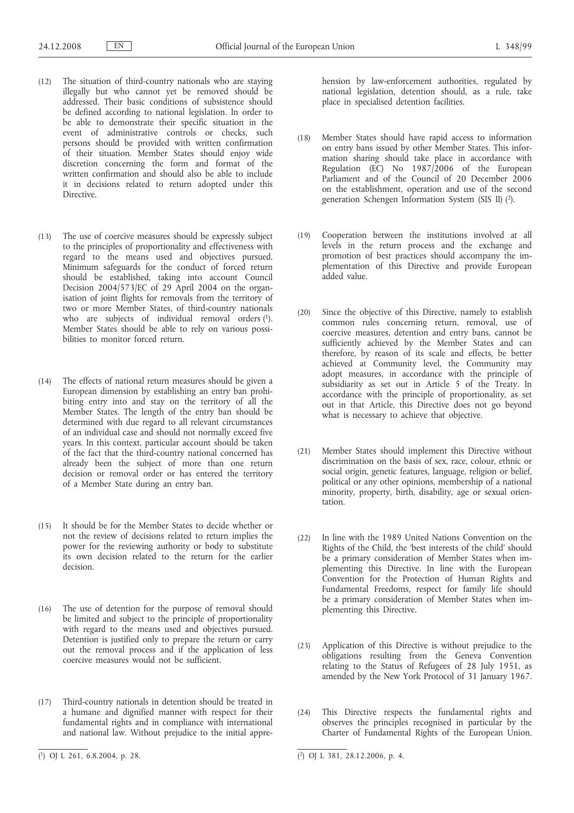- (12) The situation of third-country nationals who are staying illegally but who cannot yet be removed should be addressed. Their basic conditions of subsistence should be defined according to national legislation. In order to be able to demonstrate their specific situation in the event of administrative controls or checks, such persons should be provided with written confirmation of their situation. Member States should enjoy wide discretion concerning the form and format of the written confirmation and should also be able to include it in decisions related to return adopted under this Directive.
- (13) The use of coercive measures should be expressly subject to the principles of proportionality and effectiveness with regard to the means used and objectives pursued. Minimum safeguards for the conduct of forced return should be established, taking into account Council Decision 2004/573/EC of 29 April 2004 on the organisation of joint flights for removals from the territory of two or more Member States, of third-country nationals who are subjects of individual removal orders  $(1)$ . Member States should be able to rely on various possibilities to monitor forced return.
- (14) The effects of national return measures should be given a European dimension by establishing an entry ban prohibiting entry into and stay on the territory of all the Member States. The length of the entry ban should be determined with due regard to all relevant circumstances of an individual case and should not normally exceed five years. In this context, particular account should be taken of the fact that the third-country national concerned has already been the subject of more than one return decision or removal order or has entered the territory of a Member State during an entry ban.
- (15) It should be for the Member States to decide whether or not the review of decisions related to return implies the power for the reviewing authority or body to substitute its own decision related to the return for the earlier decision.
- (16) The use of detention for the purpose of removal should be limited and subject to the principle of proportionality with regard to the means used and objectives pursued. Detention is justified only to prepare the return or carry out the removal process and if the application of less coercive measures would not be sufficient.
- (17) Third-country nationals in detention should be treated in a humane and dignified manner with respect for their fundamental rights and in compliance with international and national law. Without prejudice to the initial appre-

hension by law-enforcement authorities, regulated by national legislation, detention should, as a rule, take place in specialised detention facilities.

- (18) Member States should have rapid access to information on entry bans issued by other Member States. This information sharing should take place in accordance with Regulation (EC) No 1987/2006 of the European Parliament and of the Council of 20 December 2006 on the establishment, operation and use of the second generation Schengen Information System (SIS II) (2).
- (19) Cooperation between the institutions involved at all levels in the return process and the exchange and promotion of best practices should accompany the implementation of this Directive and provide European added value.
- (20) Since the objective of this Directive, namely to establish common rules concerning return, removal, use of coercive measures, detention and entry bans, cannot be sufficiently achieved by the Member States and can therefore, by reason of its scale and effects, be better achieved at Community level, the Community may adopt measures, in accordance with the principle of subsidiarity as set out in Article 5 of the Treaty. In accordance with the principle of proportionality, as set out in that Article, this Directive does not go beyond what is necessary to achieve that objective.
- (21) Member States should implement this Directive without discrimination on the basis of sex, race, colour, ethnic or social origin, genetic features, language, religion or belief, political or any other opinions, membership of a national minority, property, birth, disability, age or sexual orientation.
- (22) In line with the 1989 United Nations Convention on the Rights of the Child, the 'best interests of the child' should be a primary consideration of Member States when implementing this Directive. In line with the European Convention for the Protection of Human Rights and Fundamental Freedoms, respect for family life should be a primary consideration of Member States when implementing this Directive.
- (23) Application of this Directive is without prejudice to the obligations resulting from the Geneva Convention relating to the Status of Refugees of 28 July 1951, as amended by the New York Protocol of 31 January 1967.
- (24) This Directive respects the fundamental rights and observes the principles recognised in particular by the Charter of Fundamental Rights of the European Union.

<sup>(</sup> 1) OJ L 261, 6.8.2004, p. 28. (

 $\overline{(^2)}$  OJ L 381, 28.12.2006, p. 4.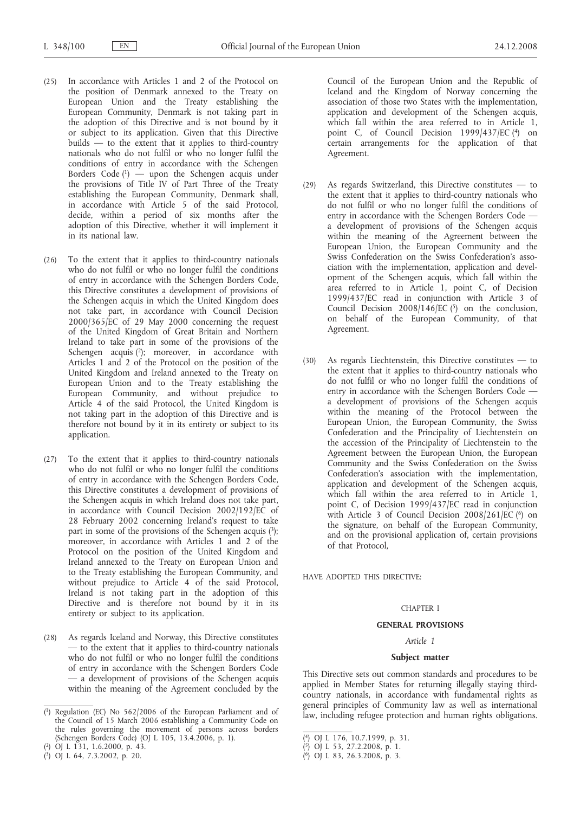- (25) In accordance with Articles 1 and 2 of the Protocol on the position of Denmark annexed to the Treaty on European Union and the Treaty establishing the European Community, Denmark is not taking part in the adoption of this Directive and is not bound by it or subject to its application. Given that this Directive builds — to the extent that it applies to third-country nationals who do not fulfil or who no longer fulfil the conditions of entry in accordance with the Schengen Borders Code  $(1)$  — upon the Schengen acquis under the provisions of Title IV of Part Three of the Treaty establishing the European Community, Denmark shall, in accordance with Article 5 of the said Protocol, decide, within a period of six months after the adoption of this Directive, whether it will implement it in its national law.
- (26) To the extent that it applies to third-country nationals who do not fulfil or who no longer fulfil the conditions of entry in accordance with the Schengen Borders Code, this Directive constitutes a development of provisions of the Schengen acquis in which the United Kingdom does not take part, in accordance with Council Decision  $2000/365/\overline{EC}$  of 29 May 2000 concerning the request of the United Kingdom of Great Britain and Northern Ireland to take part in some of the provisions of the Schengen acquis (2); moreover, in accordance with Articles 1 and 2 of the Protocol on the position of the United Kingdom and Ireland annexed to the Treaty on European Union and to the Treaty establishing the European Community, and without prejudice to Article 4 of the said Protocol, the United Kingdom is not taking part in the adoption of this Directive and is therefore not bound by it in its entirety or subject to its application.
- (27) To the extent that it applies to third-country nationals who do not fulfil or who no longer fulfil the conditions of entry in accordance with the Schengen Borders Code, this Directive constitutes a development of provisions of the Schengen acquis in which Ireland does not take part, in accordance with Council Decision 2002/192/EC of 28 February 2002 concerning Ireland's request to take part in some of the provisions of the Schengen acquis  $(3)$ ; moreover, in accordance with Articles 1 and 2 of the Protocol on the position of the United Kingdom and Ireland annexed to the Treaty on European Union and to the Treaty establishing the European Community, and without prejudice to Article 4 of the said Protocol, Ireland is not taking part in the adoption of this Directive and is therefore not bound by it in its entirety or subject to its application.
- (28) As regards Iceland and Norway, this Directive constitutes — to the extent that it applies to third-country nationals who do not fulfil or who no longer fulfil the conditions of entry in accordance with the Schengen Borders Code — a development of provisions of the Schengen acquis within the meaning of the Agreement concluded by the

( 3) OJ L 64, 7.3.2002, p. 20.

Council of the European Union and the Republic of Iceland and the Kingdom of Norway concerning the association of those two States with the implementation, application and development of the Schengen acquis, which fall within the area referred to in Article 1, point C, of Council Decision 1999/437/EC (4) on certain arrangements for the application of that Agreement.

- (29) As regards Switzerland, this Directive constitutes to the extent that it applies to third-country nationals who do not fulfil or who no longer fulfil the conditions of entry in accordance with the Schengen Borders Code a development of provisions of the Schengen acquis within the meaning of the Agreement between the European Union, the European Community and the Swiss Confederation on the Swiss Confederation's association with the implementation, application and development of the Schengen acquis, which fall within the area referred to in Article 1, point C, of Decision 1999/437/EC read in conjunction with Article 3 of Council Decision 2008/146/EC  $(5)$  on the conclusion, on behalf of the European Community, of that Agreement.
- (30) As regards Liechtenstein, this Directive constitutes to the extent that it applies to third-country nationals who do not fulfil or who no longer fulfil the conditions of entry in accordance with the Schengen Borders Code a development of provisions of the Schengen acquis within the meaning of the Protocol between the European Union, the European Community, the Swiss Confederation and the Principality of Liechtenstein on the accession of the Principality of Liechtenstein to the Agreement between the European Union, the European Community and the Swiss Confederation on the Swiss Confederation's association with the implementation, application and development of the Schengen acquis, which fall within the area referred to in Article 1, point C, of Decision 1999/437/EC read in conjunction with Article 3 of Council Decision  $2008/261/EC$  ( $6$ ) on the signature, on behalf of the European Community, and on the provisional application of, certain provisions of that Protocol,

HAVE ADOPTED THIS DIRECTIVE:

### CHAPTER I

### **GENERAL PROVISIONS**

#### *Article 1*

#### **Subject matter**

This Directive sets out common standards and procedures to be applied in Member States for returning illegally staying thirdcountry nationals, in accordance with fundamental rights as general principles of Community law as well as international law, including refugee protection and human rights obligations.

<sup>(</sup> 1) Regulation (EC) No 562/2006 of the European Parliament and of the Council of 15 March 2006 establishing a Community Code on the rules governing the movement of persons across borders (Schengen Borders Code) (OJ L 105, 13.4.2006, p. 1).

<sup>(</sup> 2) OJ L 131, 1.6.2000, p. 43.

<sup>(</sup> 4) OJ L 176, 10.7.1999, p. 31.

<sup>(</sup> 5) OJ L 53, 27.2.2008, p. 1.

<sup>(</sup> 6) OJ L 83, 26.3.2008, p. 3.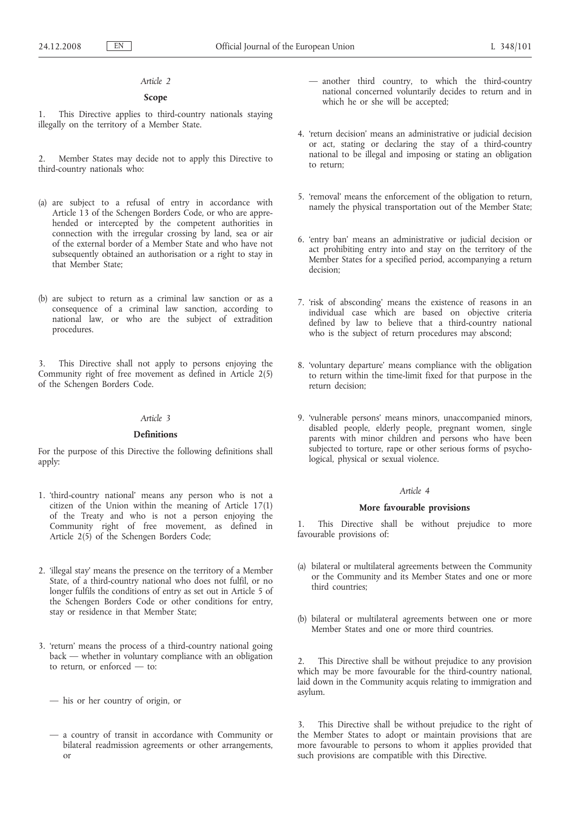### *Article 2*

### **Scope**

1. This Directive applies to third-country nationals staying illegally on the territory of a Member State.

2. Member States may decide not to apply this Directive to third-country nationals who:

- (a) are subject to a refusal of entry in accordance with Article 13 of the Schengen Borders Code, or who are apprehended or intercepted by the competent authorities in connection with the irregular crossing by land, sea or air of the external border of a Member State and who have not subsequently obtained an authorisation or a right to stay in that Member State;
- (b) are subject to return as a criminal law sanction or as a consequence of a criminal law sanction, according to national law, or who are the subject of extradition procedures.

3. This Directive shall not apply to persons enjoying the Community right of free movement as defined in Article 2(5) of the Schengen Borders Code.

## *Article 3*

### **Definitions**

For the purpose of this Directive the following definitions shall apply:

- 1. 'third-country national' means any person who is not a citizen of the Union within the meaning of Article 17(1) of the Treaty and who is not a person enjoying the Community right of free movement, as defined in Article 2(5) of the Schengen Borders Code;
- 2. 'illegal stay' means the presence on the territory of a Member State, of a third-country national who does not fulfil, or no longer fulfils the conditions of entry as set out in Article 5 of the Schengen Borders Code or other conditions for entry, stay or residence in that Member State;
- 3. 'return' means the process of a third-country national going back — whether in voluntary compliance with an obligation to return, or enforced — to:
	- his or her country of origin, or
	- a country of transit in accordance with Community or bilateral readmission agreements or other arrangements, or
- another third country, to which the third-country national concerned voluntarily decides to return and in which he or she will be accepted;
- 4. 'return decision' means an administrative or judicial decision or act, stating or declaring the stay of a third-country national to be illegal and imposing or stating an obligation to return;
- 5. 'removal' means the enforcement of the obligation to return, namely the physical transportation out of the Member State;
- 6. 'entry ban' means an administrative or judicial decision or act prohibiting entry into and stay on the territory of the Member States for a specified period, accompanying a return decision;
- 7. 'risk of absconding' means the existence of reasons in an individual case which are based on objective criteria defined by law to believe that a third-country national who is the subject of return procedures may abscond;
- 8. 'voluntary departure' means compliance with the obligation to return within the time-limit fixed for that purpose in the return decision;
- 9. 'vulnerable persons' means minors, unaccompanied minors, disabled people, elderly people, pregnant women, single parents with minor children and persons who have been subjected to torture, rape or other serious forms of psychological, physical or sexual violence.

### *Article 4*

### **More favourable provisions**

1. This Directive shall be without prejudice to more favourable provisions of:

- (a) bilateral or multilateral agreements between the Community or the Community and its Member States and one or more third countries;
- (b) bilateral or multilateral agreements between one or more Member States and one or more third countries.

2. This Directive shall be without prejudice to any provision which may be more favourable for the third-country national, laid down in the Community acquis relating to immigration and asylum.

3. This Directive shall be without prejudice to the right of the Member States to adopt or maintain provisions that are more favourable to persons to whom it applies provided that such provisions are compatible with this Directive.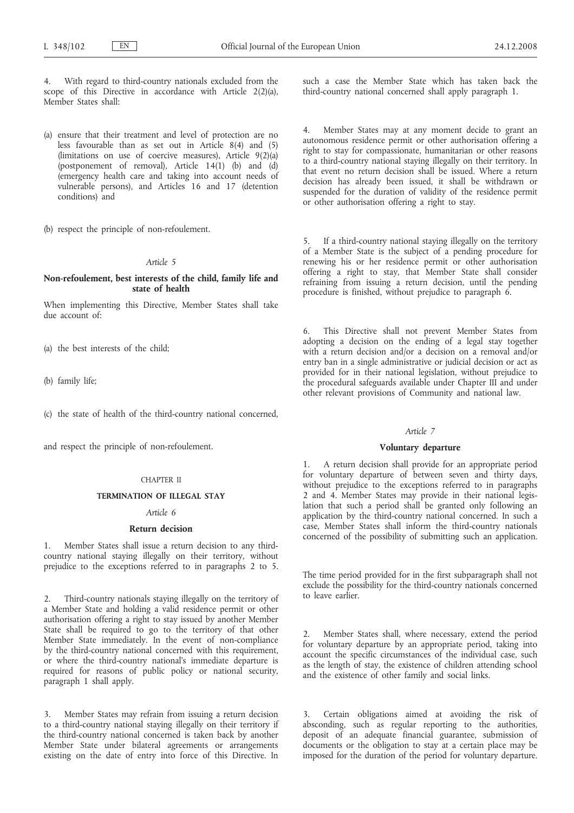With regard to third-country nationals excluded from the scope of this Directive in accordance with Article 2(2)(a), Member States shall:

(a) ensure that their treatment and level of protection are no less favourable than as set out in Article 8(4) and (5) (limitations on use of coercive measures), Article 9(2)(a) (postponement of removal), Article 14(1) (b) and (d) (emergency health care and taking into account needs of vulnerable persons), and Articles 16 and 17 (detention conditions) and

(b) respect the principle of non-refoulement.

#### *Article 5*

### **Non-refoulement, best interests of the child, family life and state of health**

When implementing this Directive, Member States shall take due account of:

(a) the best interests of the child;

(b) family life;

(c) the state of health of the third-country national concerned,

and respect the principle of non-refoulement.

### CHAPTER II

### **TERMINATION OF ILLEGAL STAY**

## *Article 6*

### **Return decision**

1. Member States shall issue a return decision to any thirdcountry national staying illegally on their territory, without prejudice to the exceptions referred to in paragraphs 2 to 5.

2. Third-country nationals staying illegally on the territory of a Member State and holding a valid residence permit or other authorisation offering a right to stay issued by another Member State shall be required to go to the territory of that other Member State immediately. In the event of non-compliance by the third-country national concerned with this requirement, or where the third-country national's immediate departure is required for reasons of public policy or national security, paragraph 1 shall apply.

Member States may refrain from issuing a return decision to a third-country national staying illegally on their territory if the third-country national concerned is taken back by another Member State under bilateral agreements or arrangements existing on the date of entry into force of this Directive. In

such a case the Member State which has taken back the third-country national concerned shall apply paragraph 1.

4. Member States may at any moment decide to grant an autonomous residence permit or other authorisation offering a right to stay for compassionate, humanitarian or other reasons to a third-country national staying illegally on their territory. In that event no return decision shall be issued. Where a return decision has already been issued, it shall be withdrawn or suspended for the duration of validity of the residence permit or other authorisation offering a right to stay.

If a third-country national staying illegally on the territory of a Member State is the subject of a pending procedure for renewing his or her residence permit or other authorisation offering a right to stay, that Member State shall consider refraining from issuing a return decision, until the pending procedure is finished, without prejudice to paragraph 6.

6. This Directive shall not prevent Member States from adopting a decision on the ending of a legal stay together with a return decision and/or a decision on a removal and/or entry ban in a single administrative or judicial decision or act as provided for in their national legislation, without prejudice to the procedural safeguards available under Chapter III and under other relevant provisions of Community and national law.

#### *Article 7*

## **Voluntary departure**

1. A return decision shall provide for an appropriate period for voluntary departure of between seven and thirty days, without prejudice to the exceptions referred to in paragraphs 2 and 4. Member States may provide in their national legislation that such a period shall be granted only following an application by the third-country national concerned. In such a case, Member States shall inform the third-country nationals concerned of the possibility of submitting such an application.

The time period provided for in the first subparagraph shall not exclude the possibility for the third-country nationals concerned to leave earlier.

2. Member States shall, where necessary, extend the period for voluntary departure by an appropriate period, taking into account the specific circumstances of the individual case, such as the length of stay, the existence of children attending school and the existence of other family and social links.

3. Certain obligations aimed at avoiding the risk of absconding, such as regular reporting to the authorities, deposit of an adequate financial guarantee, submission of documents or the obligation to stay at a certain place may be imposed for the duration of the period for voluntary departure.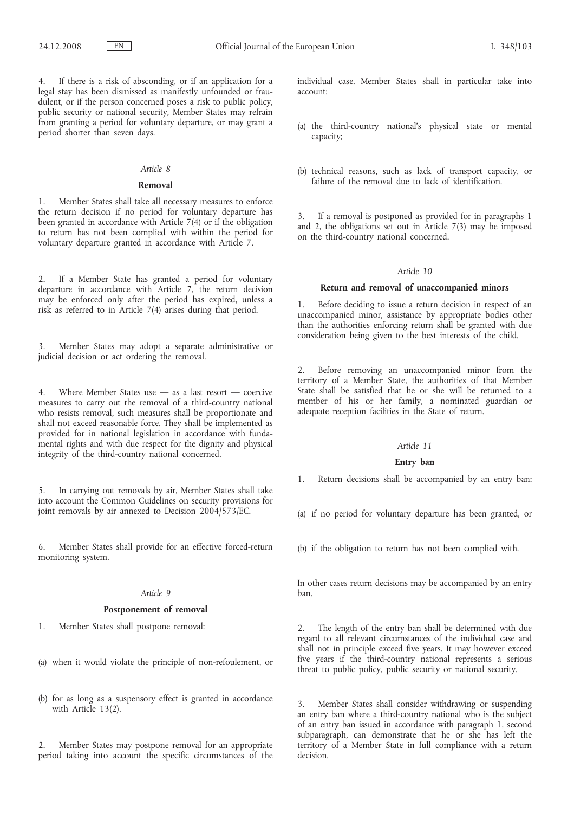If there is a risk of absconding, or if an application for a legal stay has been dismissed as manifestly unfounded or fraudulent, or if the person concerned poses a risk to public policy, public security or national security, Member States may refrain from granting a period for voluntary departure, or may grant a period shorter than seven days.

### *Article 8*

### **Removal**

1. Member States shall take all necessary measures to enforce the return decision if no period for voluntary departure has been granted in accordance with Article 7(4) or if the obligation to return has not been complied with within the period for voluntary departure granted in accordance with Article 7.

2. If a Member State has granted a period for voluntary departure in accordance with Article 7, the return decision may be enforced only after the period has expired, unless a risk as referred to in Article 7(4) arises during that period.

3. Member States may adopt a separate administrative or judicial decision or act ordering the removal.

4. Where Member States use — as a last resort — coercive measures to carry out the removal of a third-country national who resists removal, such measures shall be proportionate and shall not exceed reasonable force. They shall be implemented as provided for in national legislation in accordance with fundamental rights and with due respect for the dignity and physical integrity of the third-country national concerned.

5. In carrying out removals by air, Member States shall take into account the Common Guidelines on security provisions for joint removals by air annexed to Decision 2004/573/EC.

6. Member States shall provide for an effective forced-return monitoring system.

### *Article 9*

#### **Postponement of removal**

1. Member States shall postpone removal:

- (a) when it would violate the principle of non-refoulement, or
- (b) for as long as a suspensory effect is granted in accordance with Article 13(2).

2. Member States may postpone removal for an appropriate period taking into account the specific circumstances of the individual case. Member States shall in particular take into account:

- (a) the third-country national's physical state or mental capacity;
- (b) technical reasons, such as lack of transport capacity, or failure of the removal due to lack of identification.

If a removal is postponed as provided for in paragraphs 1 and 2, the obligations set out in Article  $7(3)$  may be imposed on the third-country national concerned.

### *Article 10*

### **Return and removal of unaccompanied minors**

1. Before deciding to issue a return decision in respect of an unaccompanied minor, assistance by appropriate bodies other than the authorities enforcing return shall be granted with due consideration being given to the best interests of the child.

2. Before removing an unaccompanied minor from the territory of a Member State, the authorities of that Member State shall be satisfied that he or she will be returned to a member of his or her family, a nominated guardian or adequate reception facilities in the State of return.

## *Article 11*

### **Entry ban**

1. Return decisions shall be accompanied by an entry ban:

- (a) if no period for voluntary departure has been granted, or
- (b) if the obligation to return has not been complied with.

In other cases return decisions may be accompanied by an entry ban.

The length of the entry ban shall be determined with due regard to all relevant circumstances of the individual case and shall not in principle exceed five years. It may however exceed five years if the third-country national represents a serious threat to public policy, public security or national security.

3. Member States shall consider withdrawing or suspending an entry ban where a third-country national who is the subject of an entry ban issued in accordance with paragraph 1, second subparagraph, can demonstrate that he or she has left the territory of a Member State in full compliance with a return decision.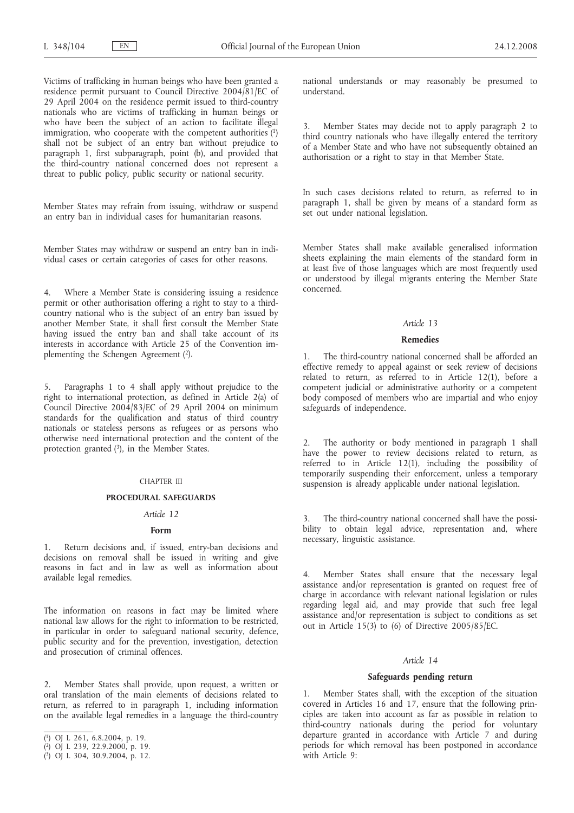Victims of trafficking in human beings who have been granted a residence permit pursuant to Council Directive 2004/81/EC of 29 April 2004 on the residence permit issued to third-country nationals who are victims of trafficking in human beings or who have been the subject of an action to facilitate illegal immigration, who cooperate with the competent authorities  $(1)$ shall not be subject of an entry ban without prejudice to paragraph 1, first subparagraph, point (b), and provided that the third-country national concerned does not represent a threat to public policy, public security or national security.

Member States may refrain from issuing, withdraw or suspend an entry ban in individual cases for humanitarian reasons.

Member States may withdraw or suspend an entry ban in individual cases or certain categories of cases for other reasons.

4. Where a Member State is considering issuing a residence permit or other authorisation offering a right to stay to a thirdcountry national who is the subject of an entry ban issued by another Member State, it shall first consult the Member State having issued the entry ban and shall take account of its interests in accordance with Article 25 of the Convention implementing the Schengen Agreement (2).

Paragraphs 1 to 4 shall apply without prejudice to the right to international protection, as defined in Article 2(a) of Council Directive 2004/83/EC of 29 April 2004 on minimum standards for the qualification and status of third country nationals or stateless persons as refugees or as persons who otherwise need international protection and the content of the protection granted (3), in the Member States.

#### CHAPTER III

#### **PROCEDURAL SAFEGUARDS**

### *Article 12*

#### **Form**

1. Return decisions and, if issued, entry-ban decisions and decisions on removal shall be issued in writing and give reasons in fact and in law as well as information about available legal remedies.

The information on reasons in fact may be limited where national law allows for the right to information to be restricted, in particular in order to safeguard national security, defence, public security and for the prevention, investigation, detection and prosecution of criminal offences.

2. Member States shall provide, upon request, a written or oral translation of the main elements of decisions related to return, as referred to in paragraph 1, including information on the available legal remedies in a language the third-country national understands or may reasonably be presumed to understand.

3. Member States may decide not to apply paragraph 2 to third country nationals who have illegally entered the territory of a Member State and who have not subsequently obtained an authorisation or a right to stay in that Member State.

In such cases decisions related to return, as referred to in paragraph 1, shall be given by means of a standard form as set out under national legislation.

Member States shall make available generalised information sheets explaining the main elements of the standard form in at least five of those languages which are most frequently used or understood by illegal migrants entering the Member State concerned.

### *Article 13*

#### **Remedies**

The third-country national concerned shall be afforded an effective remedy to appeal against or seek review of decisions related to return, as referred to in Article 12(1), before a competent judicial or administrative authority or a competent body composed of members who are impartial and who enjoy safeguards of independence.

The authority or body mentioned in paragraph 1 shall have the power to review decisions related to return, as referred to in Article 12(1), including the possibility of temporarily suspending their enforcement, unless a temporary suspension is already applicable under national legislation.

The third-country national concerned shall have the possibility to obtain legal advice, representation and, where necessary, linguistic assistance.

Member States shall ensure that the necessary legal assistance and/or representation is granted on request free of charge in accordance with relevant national legislation or rules regarding legal aid, and may provide that such free legal assistance and/or representation is subject to conditions as set out in Article 15(3) to (6) of Directive 2005/85/EC.

### *Article 14*

### **Safeguards pending return**

1. Member States shall, with the exception of the situation covered in Articles 16 and 17, ensure that the following principles are taken into account as far as possible in relation to third-country nationals during the period for voluntary departure granted in accordance with Article 7 and during periods for which removal has been postponed in accordance with Article 9:

<sup>(</sup> 1) OJ L 261, 6.8.2004, p. 19.

<sup>(</sup> 2) OJ L 239, 22.9.2000, p. 19.

<sup>(</sup> 3) OJ L 304, 30.9.2004, p. 12.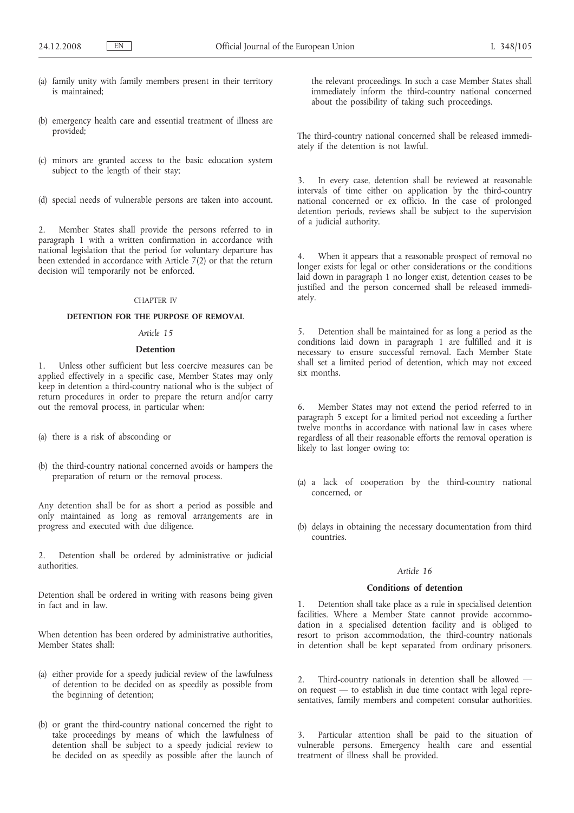- (a) family unity with family members present in their territory is maintained;
- (b) emergency health care and essential treatment of illness are provided;
- (c) minors are granted access to the basic education system subject to the length of their stay;
- (d) special needs of vulnerable persons are taken into account.

2. Member States shall provide the persons referred to in paragraph 1 with a written confirmation in accordance with national legislation that the period for voluntary departure has been extended in accordance with Article 7(2) or that the return decision will temporarily not be enforced.

### CHAPTER IV

### **DETENTION FOR THE PURPOSE OF REMOVAL**

### *Article 15*

### **Detention**

Unless other sufficient but less coercive measures can be applied effectively in a specific case, Member States may only keep in detention a third-country national who is the subject of return procedures in order to prepare the return and/or carry out the removal process, in particular when:

- (a) there is a risk of absconding or
- (b) the third-country national concerned avoids or hampers the preparation of return or the removal process.

Any detention shall be for as short a period as possible and only maintained as long as removal arrangements are in progress and executed with due diligence.

2. Detention shall be ordered by administrative or judicial authorities.

Detention shall be ordered in writing with reasons being given in fact and in law.

When detention has been ordered by administrative authorities, Member States shall:

- (a) either provide for a speedy judicial review of the lawfulness of detention to be decided on as speedily as possible from the beginning of detention;
- (b) or grant the third-country national concerned the right to take proceedings by means of which the lawfulness of detention shall be subject to a speedy judicial review to be decided on as speedily as possible after the launch of

the relevant proceedings. In such a case Member States shall immediately inform the third-country national concerned about the possibility of taking such proceedings.

The third-country national concerned shall be released immediately if the detention is not lawful.

3. In every case, detention shall be reviewed at reasonable intervals of time either on application by the third-country national concerned or ex officio. In the case of prolonged detention periods, reviews shall be subject to the supervision of a judicial authority.

4. When it appears that a reasonable prospect of removal no longer exists for legal or other considerations or the conditions laid down in paragraph 1 no longer exist, detention ceases to be justified and the person concerned shall be released immediately.

5. Detention shall be maintained for as long a period as the conditions laid down in paragraph 1 are fulfilled and it is necessary to ensure successful removal. Each Member State shall set a limited period of detention, which may not exceed six months.

6. Member States may not extend the period referred to in paragraph 5 except for a limited period not exceeding a further twelve months in accordance with national law in cases where regardless of all their reasonable efforts the removal operation is likely to last longer owing to:

- (a) a lack of cooperation by the third-country national concerned, or
- (b) delays in obtaining the necessary documentation from third countries.

## *Article 16*

## **Conditions of detention**

Detention shall take place as a rule in specialised detention facilities. Where a Member State cannot provide accommodation in a specialised detention facility and is obliged to resort to prison accommodation, the third-country nationals in detention shall be kept separated from ordinary prisoners.

2. Third-country nationals in detention shall be allowed on request — to establish in due time contact with legal representatives, family members and competent consular authorities.

3. Particular attention shall be paid to the situation of vulnerable persons. Emergency health care and essential treatment of illness shall be provided.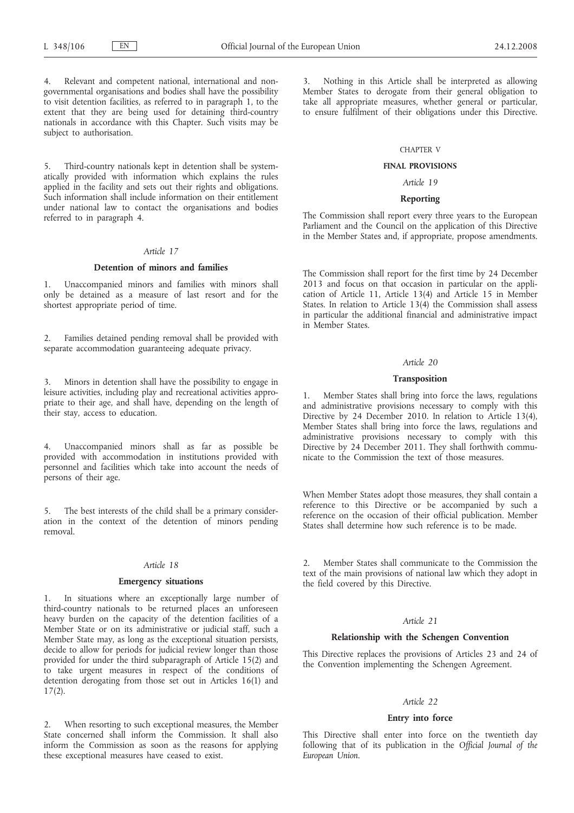Relevant and competent national, international and nongovernmental organisations and bodies shall have the possibility to visit detention facilities, as referred to in paragraph 1, to the extent that they are being used for detaining third-country nationals in accordance with this Chapter. Such visits may be subject to authorisation.

5. Third-country nationals kept in detention shall be systematically provided with information which explains the rules applied in the facility and sets out their rights and obligations. Such information shall include information on their entitlement under national law to contact the organisations and bodies referred to in paragraph 4.

## *Article 17*

#### **Detention of minors and families**

1. Unaccompanied minors and families with minors shall only be detained as a measure of last resort and for the shortest appropriate period of time.

2. Families detained pending removal shall be provided with separate accommodation guaranteeing adequate privacy.

Minors in detention shall have the possibility to engage in leisure activities, including play and recreational activities appropriate to their age, and shall have, depending on the length of their stay, access to education.

4. Unaccompanied minors shall as far as possible be provided with accommodation in institutions provided with personnel and facilities which take into account the needs of persons of their age.

5. The best interests of the child shall be a primary consideration in the context of the detention of minors pending removal.

### *Article 18*

### **Emergency situations**

1. In situations where an exceptionally large number of third-country nationals to be returned places an unforeseen heavy burden on the capacity of the detention facilities of a Member State or on its administrative or judicial staff, such a Member State may, as long as the exceptional situation persists, decide to allow for periods for judicial review longer than those provided for under the third subparagraph of Article 15(2) and to take urgent measures in respect of the conditions of detention derogating from those set out in Articles 16(1) and  $17(2)$ .

2. When resorting to such exceptional measures, the Member State concerned shall inform the Commission. It shall also inform the Commission as soon as the reasons for applying these exceptional measures have ceased to exist.

3. Nothing in this Article shall be interpreted as allowing Member States to derogate from their general obligation to take all appropriate measures, whether general or particular, to ensure fulfilment of their obligations under this Directive.

#### CHAPTER V

## **FINAL PROVISIONS**

### *Article 19*

### **Reporting**

The Commission shall report every three years to the European Parliament and the Council on the application of this Directive in the Member States and, if appropriate, propose amendments.

The Commission shall report for the first time by 24 December 2013 and focus on that occasion in particular on the application of Article 11, Article 13(4) and Article 15 in Member States. In relation to Article 13(4) the Commission shall assess in particular the additional financial and administrative impact in Member States.

#### *Article 20*

#### **Transposition**

1. Member States shall bring into force the laws, regulations and administrative provisions necessary to comply with this Directive by 24 December 2010. In relation to Article 13(4), Member States shall bring into force the laws, regulations and administrative provisions necessary to comply with this Directive by 24 December 2011. They shall forthwith communicate to the Commission the text of those measures.

When Member States adopt those measures, they shall contain a reference to this Directive or be accompanied by such a reference on the occasion of their official publication. Member States shall determine how such reference is to be made.

Member States shall communicate to the Commission the text of the main provisions of national law which they adopt in the field covered by this Directive.

#### *Article 21*

## **Relationship with the Schengen Convention**

This Directive replaces the provisions of Articles 23 and 24 of the Convention implementing the Schengen Agreement.

### *Article 22*

### **Entry into force**

This Directive shall enter into force on the twentieth day following that of its publication in the *Official Journal of the European Union*.